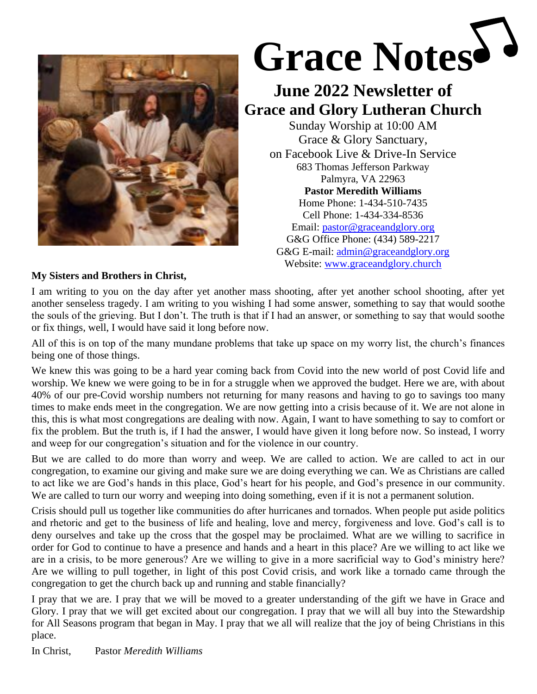

# **Grace Notes**

# **June 2022 Newsletter of Grace and Glory Lutheran Church**

Sunday Worship at 10:00 AM Grace & Glory Sanctuary, on Facebook Live & Drive-In Service 683 Thomas Jefferson Parkway Palmyra, VA 22963 **Pastor Meredith Williams** Home Phone: 1-434-510-7435 Cell Phone: 1-434-334-8536 Email: [pastor@graceandglory.org](mailto:pastor@graceandglory.org) G&G Office Phone: (434) 589-2217 G&G E-mail: [admin@graceandglory.org](mailto:admin@graceandglory.org) Website: [www.graceandglory.church](http://www.graceandglory.church/)

# **My Sisters and Brothers in Christ,**

I am writing to you on the day after yet another mass shooting, after yet another school shooting, after yet another senseless tragedy. I am writing to you wishing I had some answer, something to say that would soothe the souls of the grieving. But I don't. The truth is that if I had an answer, or something to say that would soothe or fix things, well, I would have said it long before now.

All of this is on top of the many mundane problems that take up space on my worry list, the church's finances being one of those things.

We knew this was going to be a hard year coming back from Covid into the new world of post Covid life and worship. We knew we were going to be in for a struggle when we approved the budget. Here we are, with about 40% of our pre-Covid worship numbers not returning for many reasons and having to go to savings too many times to make ends meet in the congregation. We are now getting into a crisis because of it. We are not alone in this, this is what most congregations are dealing with now. Again, I want to have something to say to comfort or fix the problem. But the truth is, if I had the answer, I would have given it long before now. So instead, I worry and weep for our congregation's situation and for the violence in our country.

But we are called to do more than worry and weep. We are called to action. We are called to act in our congregation, to examine our giving and make sure we are doing everything we can. We as Christians are called to act like we are God's hands in this place, God's heart for his people, and God's presence in our community. We are called to turn our worry and weeping into doing something, even if it is not a permanent solution.

Crisis should pull us together like communities do after hurricanes and tornados. When people put aside politics and rhetoric and get to the business of life and healing, love and mercy, forgiveness and love. God's call is to deny ourselves and take up the cross that the gospel may be proclaimed. What are we willing to sacrifice in order for God to continue to have a presence and hands and a heart in this place? Are we willing to act like we are in a crisis, to be more generous? Are we willing to give in a more sacrificial way to God's ministry here? Are we willing to pull together, in light of this post Covid crisis, and work like a tornado came through the congregation to get the church back up and running and stable financially?

I pray that we are. I pray that we will be moved to a greater understanding of the gift we have in Grace and Glory. I pray that we will get excited about our congregation. I pray that we will all buy into the Stewardship for All Seasons program that began in May. I pray that we all will realize that the joy of being Christians in this place.

In Christ, Pastor *Meredith Williams*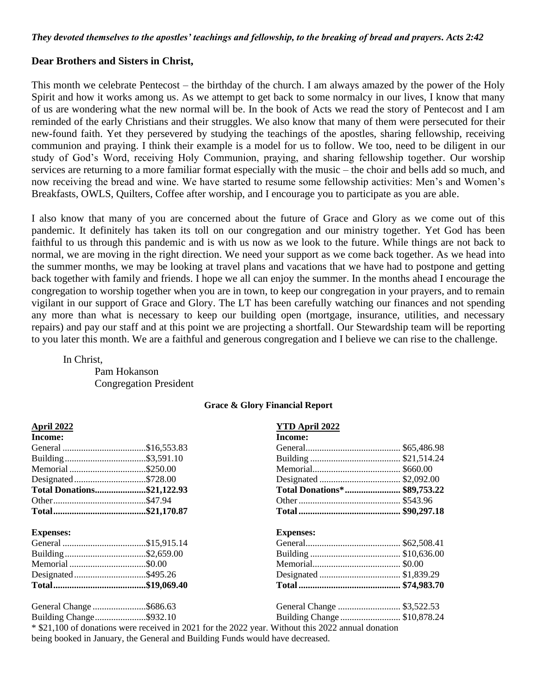#### **Dear Brothers and Sisters in Christ,**

This month we celebrate Pentecost – the birthday of the church. I am always amazed by the power of the Holy Spirit and how it works among us. As we attempt to get back to some normalcy in our lives, I know that many of us are wondering what the new normal will be. In the book of Acts we read the story of Pentecost and I am reminded of the early Christians and their struggles. We also know that many of them were persecuted for their new-found faith. Yet they persevered by studying the teachings of the apostles, sharing fellowship, receiving communion and praying. I think their example is a model for us to follow. We too, need to be diligent in our study of God's Word, receiving Holy Communion, praying, and sharing fellowship together. Our worship services are returning to a more familiar format especially with the music – the choir and bells add so much, and now receiving the bread and wine. We have started to resume some fellowship activities: Men's and Women's Breakfasts, OWLS, Quilters, Coffee after worship, and I encourage you to participate as you are able.

I also know that many of you are concerned about the future of Grace and Glory as we come out of this pandemic. It definitely has taken its toll on our congregation and our ministry together. Yet God has been faithful to us through this pandemic and is with us now as we look to the future. While things are not back to normal, we are moving in the right direction. We need your support as we come back together. As we head into the summer months, we may be looking at travel plans and vacations that we have had to postpone and getting back together with family and friends. I hope we all can enjoy the summer. In the months ahead I encourage the congregation to worship together when you are in town, to keep our congregation in your prayers, and to remain vigilant in our support of Grace and Glory. The LT has been carefully watching our finances and not spending any more than what is necessary to keep our building open (mortgage, insurance, utilities, and necessary repairs) and pay our staff and at this point we are projecting a shortfall. Our Stewardship team will be reporting to you later this month. We are a faithful and generous congregation and I believe we can rise to the challenge.

In Christ,

Pam Hokanson Congregation President

#### **Grace & Glory Financial Report**

| <b>April 2022</b>          | <b>YTD April 2022</b>                                                                              |  |
|----------------------------|----------------------------------------------------------------------------------------------------|--|
| Income:                    | Income:                                                                                            |  |
|                            |                                                                                                    |  |
|                            |                                                                                                    |  |
| Memorial \$250.00          |                                                                                                    |  |
| Designated\$728.00         |                                                                                                    |  |
| Total Donations\$21,122.93 | Total Donations* \$89,753.22                                                                       |  |
|                            |                                                                                                    |  |
|                            |                                                                                                    |  |
| <b>Expenses:</b>           | <b>Expenses:</b>                                                                                   |  |
|                            |                                                                                                    |  |
|                            |                                                                                                    |  |
| Memorial \$0.00            |                                                                                                    |  |
| Designated\$495.26         |                                                                                                    |  |
|                            |                                                                                                    |  |
| General Change \$686.63    | General Change  \$3,522.53                                                                         |  |
| Building Change\$932.10    | Building Change  \$10,878.24                                                                       |  |
|                            | * \$21,100 of donations were received in 2021 for the 2022 year. Without this 2022 annual donation |  |

being booked in January, the General and Building Funds would have decreased.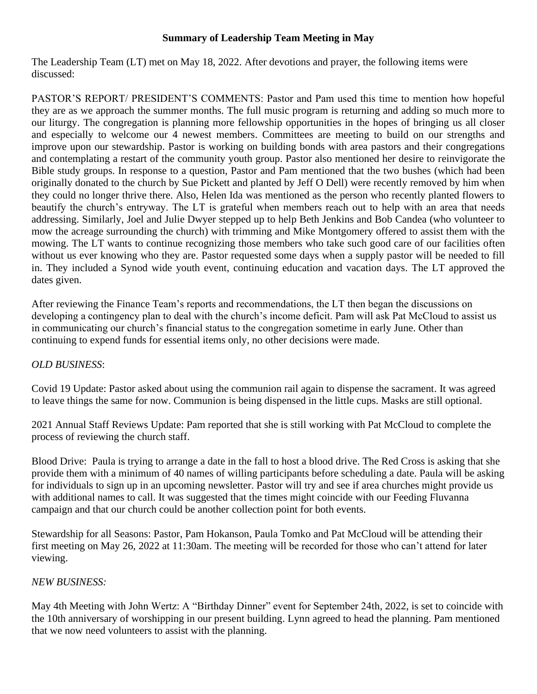# **Summary of Leadership Team Meeting in May**

The Leadership Team (LT) met on May 18, 2022. After devotions and prayer, the following items were discussed:

PASTOR'S REPORT/ PRESIDENT'S COMMENTS: Pastor and Pam used this time to mention how hopeful they are as we approach the summer months. The full music program is returning and adding so much more to our liturgy. The congregation is planning more fellowship opportunities in the hopes of bringing us all closer and especially to welcome our 4 newest members. Committees are meeting to build on our strengths and improve upon our stewardship. Pastor is working on building bonds with area pastors and their congregations and contemplating a restart of the community youth group. Pastor also mentioned her desire to reinvigorate the Bible study groups. In response to a question, Pastor and Pam mentioned that the two bushes (which had been originally donated to the church by Sue Pickett and planted by Jeff O Dell) were recently removed by him when they could no longer thrive there. Also, Helen Ida was mentioned as the person who recently planted flowers to beautify the church's entryway. The LT is grateful when members reach out to help with an area that needs addressing. Similarly, Joel and Julie Dwyer stepped up to help Beth Jenkins and Bob Candea (who volunteer to mow the acreage surrounding the church) with trimming and Mike Montgomery offered to assist them with the mowing. The LT wants to continue recognizing those members who take such good care of our facilities often without us ever knowing who they are. Pastor requested some days when a supply pastor will be needed to fill in. They included a Synod wide youth event, continuing education and vacation days. The LT approved the dates given.

After reviewing the Finance Team's reports and recommendations, the LT then began the discussions on developing a contingency plan to deal with the church's income deficit. Pam will ask Pat McCloud to assist us in communicating our church's financial status to the congregation sometime in early June. Other than continuing to expend funds for essential items only, no other decisions were made.

# *OLD BUSINESS*:

Covid 19 Update: Pastor asked about using the communion rail again to dispense the sacrament. It was agreed to leave things the same for now. Communion is being dispensed in the little cups. Masks are still optional.

2021 Annual Staff Reviews Update: Pam reported that she is still working with Pat McCloud to complete the process of reviewing the church staff.

Blood Drive: Paula is trying to arrange a date in the fall to host a blood drive. The Red Cross is asking that she provide them with a minimum of 40 names of willing participants before scheduling a date. Paula will be asking for individuals to sign up in an upcoming newsletter. Pastor will try and see if area churches might provide us with additional names to call. It was suggested that the times might coincide with our Feeding Fluvanna campaign and that our church could be another collection point for both events.

Stewardship for all Seasons: Pastor, Pam Hokanson, Paula Tomko and Pat McCloud will be attending their first meeting on May 26, 2022 at 11:30am. The meeting will be recorded for those who can't attend for later viewing.

# *NEW BUSINESS:*

May 4th Meeting with John Wertz: A "Birthday Dinner" event for September 24th, 2022, is set to coincide with the 10th anniversary of worshipping in our present building. Lynn agreed to head the planning. Pam mentioned that we now need volunteers to assist with the planning.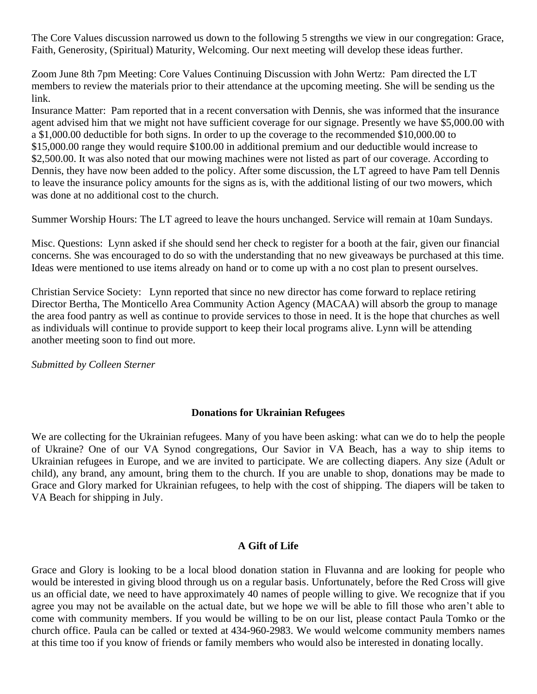The Core Values discussion narrowed us down to the following 5 strengths we view in our congregation: Grace, Faith, Generosity, (Spiritual) Maturity, Welcoming. Our next meeting will develop these ideas further.

Zoom June 8th 7pm Meeting: Core Values Continuing Discussion with John Wertz: Pam directed the LT members to review the materials prior to their attendance at the upcoming meeting. She will be sending us the link.

Insurance Matter: Pam reported that in a recent conversation with Dennis, she was informed that the insurance agent advised him that we might not have sufficient coverage for our signage. Presently we have \$5,000.00 with a \$1,000.00 deductible for both signs. In order to up the coverage to the recommended \$10,000.00 to \$15,000.00 range they would require \$100.00 in additional premium and our deductible would increase to \$2,500.00. It was also noted that our mowing machines were not listed as part of our coverage. According to Dennis, they have now been added to the policy. After some discussion, the LT agreed to have Pam tell Dennis to leave the insurance policy amounts for the signs as is, with the additional listing of our two mowers, which was done at no additional cost to the church.

Summer Worship Hours: The LT agreed to leave the hours unchanged. Service will remain at 10am Sundays.

Misc. Questions: Lynn asked if she should send her check to register for a booth at the fair, given our financial concerns. She was encouraged to do so with the understanding that no new giveaways be purchased at this time. Ideas were mentioned to use items already on hand or to come up with a no cost plan to present ourselves.

Christian Service Society: Lynn reported that since no new director has come forward to replace retiring Director Bertha, The Monticello Area Community Action Agency (MACAA) will absorb the group to manage the area food pantry as well as continue to provide services to those in need. It is the hope that churches as well as individuals will continue to provide support to keep their local programs alive. Lynn will be attending another meeting soon to find out more.

*Submitted by Colleen Sterner*

#### **Donations for Ukrainian Refugees**

We are collecting for the Ukrainian refugees. Many of you have been asking: what can we do to help the people of Ukraine? One of our VA Synod congregations, Our Savior in VA Beach, has a way to ship items to Ukrainian refugees in Europe, and we are invited to participate. We are collecting diapers. Any size (Adult or child), any brand, any amount, bring them to the church. If you are unable to shop, donations may be made to Grace and Glory marked for Ukrainian refugees, to help with the cost of shipping. The diapers will be taken to VA Beach for shipping in July.

#### **A Gift of Life**

Grace and Glory is looking to be a local blood donation station in Fluvanna and are looking for people who would be interested in giving blood through us on a regular basis. Unfortunately, before the Red Cross will give us an official date, we need to have approximately 40 names of people willing to give. We recognize that if you agree you may not be available on the actual date, but we hope we will be able to fill those who aren't able to come with community members. If you would be willing to be on our list, please contact Paula Tomko or the church office. Paula can be called or texted at [434-960-2983.](callto:434-960-2983) We would welcome community members names at this time too if you know of friends or family members who would also be interested in donating locally.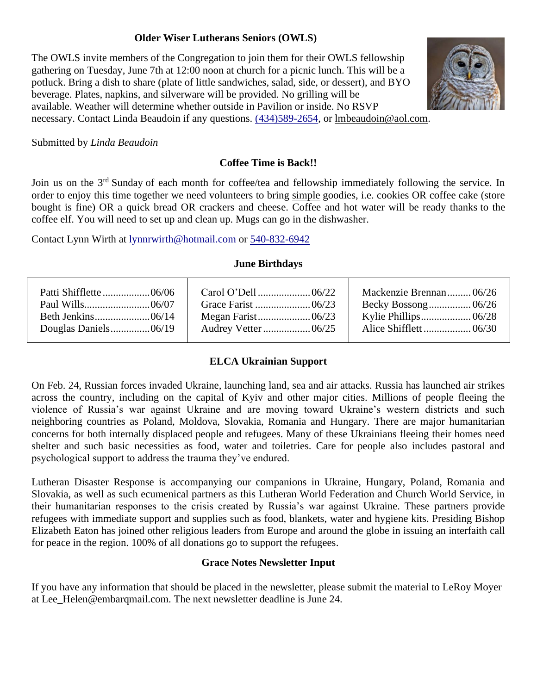# **Older Wiser Lutherans Seniors (OWLS)**

The OWLS invite members of the Congregation to join them for their OWLS fellowship gathering on Tuesday, June 7th at 12:00 noon at church for a picnic lunch. This will be a potluck. Bring a dish to share (plate of little sandwiches, salad, side, or dessert), and BYO beverage. Plates, napkins, and silverware will be provided. No grilling will be available. Weather will determine whether outside in Pavilion or inside. No RSVP necessary. Contact Linda Beaudoin if any questions. [\(434\)589-2654,](callto:(434)589-2654) or [lmbeaudoin@aol.com.](mailto:lmbeaudoin@aol.com)



Submitted by *Linda Beaudoin*

# **Coffee Time is Back!!**

Join us on the 3<sup>rd</sup> Sunday of each month for coffee/tea and fellowship immediately following the service. In order to enjoy this time together we need volunteers to bring simple goodies, i.e. cookies OR coffee cake (store bought is fine) OR a quick bread OR crackers and cheese. Coffee and hot water will be ready thanks to the coffee elf. You will need to set up and clean up. Mugs can go in the dishwasher.

Contact Lynn Wirth at lynnrwirth@hotmail.com or [540-832-6942](callto:540-832-6942)

#### **June Birthdays**

|  | Mackenzie Brennan 06/26 |
|--|-------------------------|
|  |                         |
|  |                         |
|  |                         |
|  |                         |

# **ELCA Ukrainian Support**

On Feb. 24, Russian forces invaded Ukraine, launching land, sea and air attacks. Russia has launched air strikes across the country, including on the capital of Kyiv and other major cities. Millions of people fleeing the violence of Russia's war against Ukraine and are moving toward Ukraine's western districts and such neighboring countries as Poland, Moldova, Slovakia, Romania and Hungary. There are major humanitarian concerns for both internally displaced people and refugees. Many of these Ukrainians fleeing their homes need shelter and such basic necessities as food, water and toiletries. Care for people also includes pastoral and psychological support to address the trauma they've endured.

Lutheran Disaster Response is accompanying our companions in Ukraine, Hungary, Poland, Romania and Slovakia, as well as such ecumenical partners as this Lutheran World Federation and Church World Service, in their humanitarian responses to the crisis created by Russia's war against Ukraine. These partners provide refugees with immediate support and supplies such as food, blankets, water and hygiene kits. Presiding Bishop Elizabeth Eaton has joined other religious leaders from Europe and around the globe in issuing an [interfaith call](https://www.elca.org/News-and-Events/8131)  [for peace](https://www.elca.org/News-and-Events/8131) in the region. 100% of all donations go to support the refugees.

# **Grace Notes Newsletter Input**

If you have any information that should be placed in the newsletter, please submit the material to LeRoy Moyer at Lee Helen@embarqmail.com. The next newsletter deadline is June 24.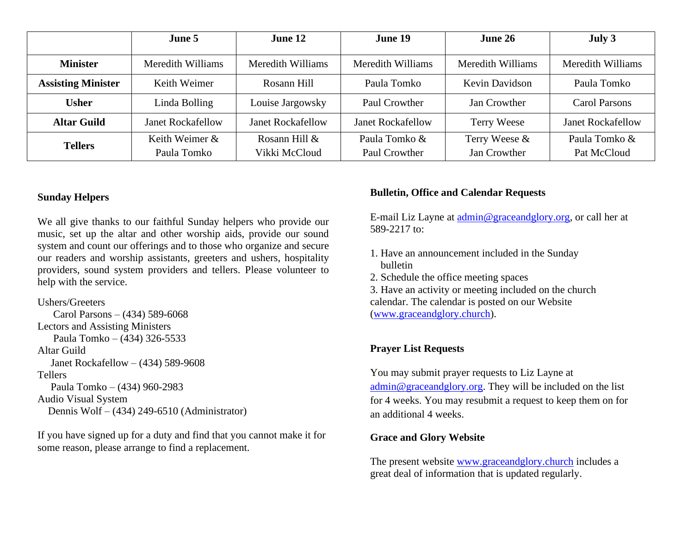|                           | June 5                   | June 12                  | June 19                  | June 26           | July 3                   |
|---------------------------|--------------------------|--------------------------|--------------------------|-------------------|--------------------------|
| <b>Minister</b>           | Meredith Williams        | Meredith Williams        | Meredith Williams        | Meredith Williams | Meredith Williams        |
| <b>Assisting Minister</b> | Keith Weimer             | Rosann Hill              | Paula Tomko              | Kevin Davidson    | Paula Tomko              |
| <b>Usher</b>              | Linda Bolling            | Louise Jargowsky         | Paul Crowther            | Jan Crowther      | <b>Carol Parsons</b>     |
| <b>Altar Guild</b>        | <b>Janet Rockafellow</b> | <b>Janet Rockafellow</b> | <b>Janet Rockafellow</b> | Terry Weese       | <b>Janet Rockafellow</b> |
| <b>Tellers</b>            | Keith Weimer $\&$        | Rosann Hill $&$          | Paula Tomko &            | Terry Weese &     | Paula Tomko &            |
|                           | Paula Tomko              | Vikki McCloud            | Paul Crowther            | Jan Crowther      | Pat McCloud              |

#### **Sunday Helpers**

We all give thanks to our faithful Sunday helpers who provide our music, set up the altar and other worship aids, provide our sound system and count our offerings and to those who organize and secure our readers and worship assistants, greeters and ushers, hospitality providers, sound system providers and tellers. Please volunteer to help with the service.

#### Ushers/Greeters

 Carol Parsons – (434) 589-6068 Lectors and Assisting Ministers Paula Tomko – (434) 326-5533 Altar Guild Janet Rockafellow – (434) 589-9608 Tellers Paula Tomko – (434) 960-2983 Audio Visual System Dennis Wolf – (434) 249-6510 (Administrator)

If you have signed up for a duty and find that you cannot make it for some reason, please arrange to find a replacement.

#### **Bulletin, Office and Calendar Requests**

E-mail Liz Layne at [admin@graceandglory.org,](mailto:admin@graceandglory.org) or call her at 589-2217 to:

- 1. Have an announcement included in the Sunday bulletin
- 2. Schedule the office meeting spaces

3. Have an activity or meeting included on the church calendar. The calendar is posted on our Website [\(www.graceandglory.church\)](http://www.graceandglory.church/).

# **Prayer List Requests**

You may submit prayer requests to Liz Layne at [admin@graceandglory.org.](mailto:admin@graceandglory.org) They will be included on the list for 4 weeks. You may resubmit a request to keep them on for an additional 4 weeks.

#### **Grace and Glory Website**

The present website [www.graceandglory.church](http://www.graceandglory.church/) includes a great deal of information that is updated regularly.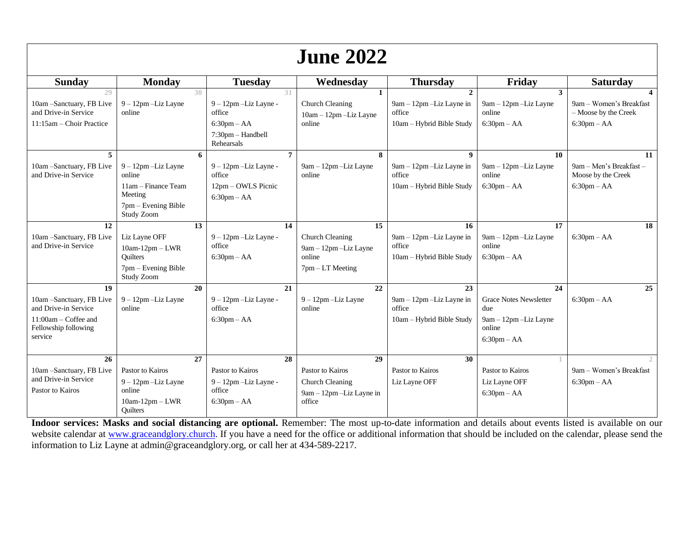| <b>June 2022</b>                                                                                                            |                                                                                                           |                                                                                                              |                                                                                    |                                                                                   |                                                                                                    |                                                                         |
|-----------------------------------------------------------------------------------------------------------------------------|-----------------------------------------------------------------------------------------------------------|--------------------------------------------------------------------------------------------------------------|------------------------------------------------------------------------------------|-----------------------------------------------------------------------------------|----------------------------------------------------------------------------------------------------|-------------------------------------------------------------------------|
| <b>Sunday</b>                                                                                                               | <b>Monday</b>                                                                                             | <b>Tuesday</b>                                                                                               | Wednesday                                                                          | <b>Thursday</b>                                                                   | Friday                                                                                             | <b>Saturday</b>                                                         |
| 29<br>10am - Sanctuary, FB Live<br>and Drive-in Service<br>11:15am - Choir Practice                                         | $9 - 12$ pm $-Liz$ Layne<br>online                                                                        | 30<br>31<br>$9 - 12$ pm $-Liz$ Layne -<br>office<br>$6:30$ pm $- AA$<br>$7:30$ pm $-$ Handbell<br>Rehearsals | $\mathbf{1}$<br>Church Cleaning<br>10am - 12pm - Liz Layne<br>online               | $\mathbf{2}$<br>$9am - 12pm$ -Liz Layne in<br>office<br>10am - Hybrid Bible Study | 3<br>9am - 12pm - Liz Layne<br>online<br>$6:30$ pm $- AA$                                          | 9am – Women's Breakfast<br>$-$ Moose by the Creek<br>$6:30$ pm $- AA$   |
| 5<br>10am - Sanctuary, FB Live<br>and Drive-in Service                                                                      | $9 - 12$ pm $-Liz$ Layne<br>online<br>11am – Finance Team<br>Meeting<br>7pm – Evening Bible<br>Study Zoom | $\overline{7}$<br>-6<br>$9 - 12$ pm $-Liz$ Layne -<br>office<br>12pm – OWLS Picnic<br>$6:30$ pm $- AA$       | 8<br>9am - 12pm - Liz Layne<br>online                                              | $\mathbf{Q}$<br>$9am - 12pm$ -Liz Layne in<br>office<br>10am - Hybrid Bible Study | 10<br>9am - 12pm - Liz Layne<br>online<br>$6:30$ pm $- AA$                                         | 11<br>9am - Men's Breakfast -<br>Moose by the Creek<br>$6:30$ pm $- AA$ |
| 12<br>10am - Sanctuary, FB Live<br>and Drive-in Service                                                                     | Liz Layne OFF<br>$10am-12pm-LWR$<br><b>Ouilters</b><br>$7$ pm – Evening Bible<br>Study Zoom               | 13<br>14<br>9 - 12pm - Liz Layne -<br>office<br>$6:30$ pm – AA                                               | 15<br>Church Cleaning<br>9am - 12pm - Liz Layne<br>online<br>$7$ pm $-$ LT Meeting | 16<br>$9am - 12pm$ -Liz Layne in<br>office<br>10am - Hybrid Bible Study           | 17<br>9am - 12pm - Liz Layne<br>online<br>$6:30$ pm $- AA$                                         | 18<br>$6:30$ pm $- AA$                                                  |
| 19<br>10am - Sanctuary, FB Live<br>and Drive-in Service<br>$11:00am - \text{Coffee}$ and<br>Fellowship following<br>service | $\overline{20}$<br>$9 - 12$ pm $-Liz$ Layne<br>online                                                     | 21<br>$9 - 12$ pm $-Liz$ Layne -<br>office<br>$6:30$ pm $- AA$                                               | 22<br>9 - 12pm - Liz Layne<br>online                                               | 23<br>$9am - 12pm$ -Liz Layne in<br>office<br>10am – Hybrid Bible Study           | 24<br><b>Grace Notes Newsletter</b><br>due<br>9am - 12pm - Liz Layne<br>online<br>$6:30$ pm $- AA$ | 25<br>$6:30$ pm $- AA$                                                  |
| 26<br>10am - Sanctuary, FB Live<br>and Drive-in Service<br>Pastor to Kairos                                                 | Pastor to Kairos<br>$9 - 12$ pm $-Liz$ Layne<br>online<br>$10am-12pm-LWR$<br><b>Ouilters</b>              | 28<br>27<br>Pastor to Kairos<br>9 - 12pm - Liz Layne -<br>office<br>$6:30$ pm $- AA$                         | 29<br>Pastor to Kairos<br>Church Cleaning<br>9am - 12pm - Liz Layne in<br>office   | 30<br>Pastor to Kairos<br>Liz Layne OFF                                           | Pastor to Kairos<br>Liz Layne OFF<br>$6:30$ pm $- AA$                                              | 9am - Women's Breakfast<br>$6:30 \text{pm} - AA$                        |

**Indoor services: Masks and social distancing are optional.** Remember: The most up-to-date information and details about events listed is available on our website calendar at [www.graceandglory.church.](http://www.graceandglory.church/) If you have a need for the office or additional information that should be included on the calendar, please send the information to Liz Layne at admin@graceandglory.org, or call her at 434-589-2217.